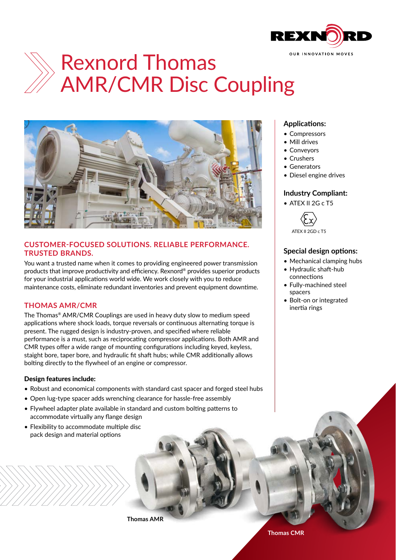

# Rexnord Thomas AMR/CMR Disc Coupling



# **CUSTOMER-FOCUSED SOLUTIONS. RELIABLE PERFORMANCE. TRUSTED BRANDS.**

You want a trusted name when it comes to providing engineered power transmission products that improve productivity and efficiency. Rexnord® provides superior products for your industrial applications world wide. We work closely with you to reduce maintenance costs, eliminate redundant inventories and prevent equipment downtime.

# **THOMAS AMR/CMR**

The Thomas® AMR/CMR Couplings are used in heavy duty slow to medium speed applications where shock loads, torque reversals or continuous alternating torque is present. The rugged design is industry-proven, and specified where reliable performance is a must, such as reciprocating compressor applications. Both AMR and CMR types offer a wide range of mounting configurations including keyed, keyless, staight bore, taper bore, and hydraulic fit shaft hubs; while CMR additionally allows bolting directly to the flywheel of an engine or compressor.

#### Design features include:

- Robust and economical components with standard cast spacer and forged steel hubs
- Open lug-type spacer adds wrenching clearance for hassle-free assembly
- Flywheel adapter plate available in standard and custom bolting patterns to accommodate virtually any flange design
- Flexibility to accommodate multiple disc pack design and material options

## **Applications:**

- Compressors
- Mill drives
- Conveyors
- Crushers
- Generators
- Diesel engine drives

## **Industry Compliant:**

• ATEX II 2G c T5



ATEX II 2GD c T5

## **Special design options:**

- Mechanical clamping hubs
- Hydraulic shaft-hub connections
- Fully-machined steel spacers
- Bolt-on or integrated inertia rings

**Thomas AMR**